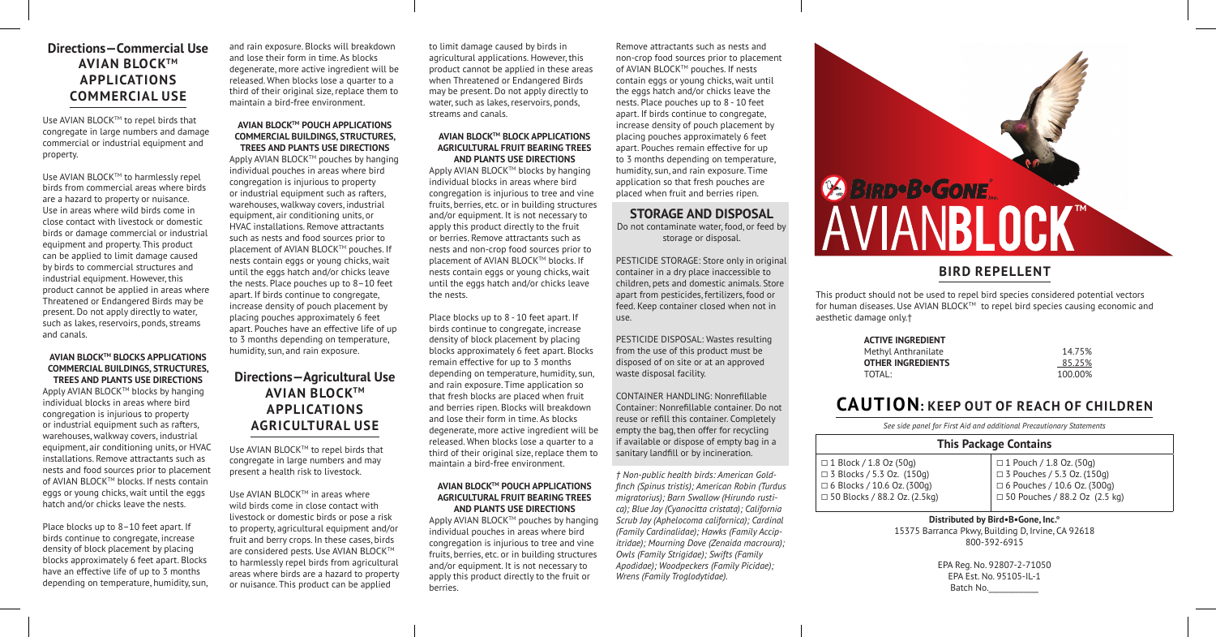# **Directions—Commercial Use AVIAN BLOCKTM APPLICATIONS COMMERCIAL USE**

Use AVIAN BLOCK™ to repel birds that congregate in large numbers and damage commercial or industrial equipment and property.

Use AVIAN BLOCK™ to harmlessly repel birds from commercial areas where birds are a hazard to property or nuisance. Use in areas where wild birds come in close contact with livestock or domestic birds or damage commercial or industrial equipment and property. This product can be applied to limit damage caused by birds to commercial structures and industrial equipment. However, this product cannot be applied in areas where Threatened or Endangered Birds may be present. Do not apply directly to water, such as lakes, reservoirs, ponds, streams and canals.

### **AVIAN BLOCKTM BLOCKS APPLICATIONS COMMERCIAL BUILDINGS, STRUCTURES, TREES AND PLANTS USE DIRECTIONS**

Apply AVIAN BLOCK™ blocks by hanging individual blocks in areas where bird congregation is injurious to property or industrial equipment such as rafters, warehouses, walkway covers, industrial equipment, air conditioning units, or HVAC installations. Remove attractants such as nests and food sources prior to placement of AVIAN BLOCK™ blocks. If nests contain eggs or young chicks, wait until the eggs hatch and/or chicks leave the nests.

Place blocks up to 8–10 feet apart. If birds continue to congregate, increase density of block placement by placing blocks approximately 6 feet apart. Blocks have an effective life of up to 3 months depending on temperature, humidity, sun, and rain exposure. Blocks will breakdown and lose their form in time. As blocks degenerate, more active ingredient will be released. When blocks lose a quarter to a third of their original size, replace them to maintain a bird-free environment.

### **AVIAN BLOCKTM POUCH APPLICATIONS COMMERCIAL BUILDINGS, STRUCTURES, TREES AND PLANTS USE DIRECTIONS**

Apply AVIAN BLOCK™ pouches by hanging individual pouches in areas where bird congregation is injurious to property or industrial equipment such as rafters, warehouses, walkway covers, industrial equipment, air conditioning units, or HVAC installations. Remove attractants such as nests and food sources prior to placement of AVIAN BLOCK™ pouches. If nests contain eggs or young chicks, wait until the eggs hatch and/or chicks leave the nests. Place pouches up to 8–10 feet apart. If birds continue to congregate, increase density of pouch placement by placing pouches approximately 6 feet apart. Pouches have an effective life of up to 3 months depending on temperature, humidity, sun, and rain exposure.

# **Directions—Agricultural Use AVIAN BLOCKTM APPLICATIONS AGRICULTURAL USE**

Use AVIAN BLOCKTM to repel birds that congregate in large numbers and may present a health risk to livestock.

Use AVIAN BLOCK™ in areas where wild birds come in close contact with livestock or domestic birds or pose a risk to property, agricultural equipment and/or fruit and berry crops. In these cases, birds are considered pests. Use AVIAN BLOCK™ to harmlessly repel birds from agricultural areas where birds are a hazard to property or nuisance. This product can be applied

to limit damage caused by birds in agricultural applications. However, this product cannot be applied in these areas when Threatened or Endangered Birds may be present. Do not apply directly to water, such as lakes, reservoirs, ponds, streams and canals.

### **AVIAN BLOCKTM BLOCK APPLICATIONS AGRICULTURAL FRUIT BEARING TREES AND PLANTS USE DIRECTIONS**

Apply AVIAN BLOCK™ blocks by hanging individual blocks in areas where bird congregation is injurious to tree and vine fruits, berries, etc. or in building structures and/or equipment. It is not necessary to apply this product directly to the fruit or berries. Remove attractants such as nests and non-crop food sources prior to placement of AVIAN BLOCK™ blocks. If nests contain eggs or young chicks, wait until the eggs hatch and/or chicks leave the nests.

Place blocks up to 8 - 10 feet apart. If birds continue to congregate, increase density of block placement by placing blocks approximately 6 feet apart. Blocks remain effective for up to 3 months depending on temperature, humidity, sun, and rain exposure. Time application so that fresh blocks are placed when fruit and berries ripen. Blocks will breakdown and lose their form in time. As blocks degenerate, more active ingredient will be released. When blocks lose a quarter to a third of their original size, replace them to maintain a bird-free environment.

### **AVIAN BLOCKTM POUCH APPLICATIONS AGRICULTURAL FRUIT BEARING TREES AND PLANTS USE DIRECTIONS**

Apply AVIAN BLOCK™ pouches by hanging individual pouches in areas where bird congregation is injurious to tree and vine fruits, berries, etc. or in building structures and/or equipment. It is not necessary to apply this product directly to the fruit or berries.

Remove attractants such as nests and non-crop food sources prior to placement of AVIAN BLOCK™ pouches. If nests contain eggs or young chicks, wait until the eggs hatch and/or chicks leave the nests. Place pouches up to 8 - 10 feet apart. If birds continue to congregate, increase density of pouch placement by placing pouches approximately 6 feet apart. Pouches remain effective for up to 3 months depending on temperature, humidity, sun, and rain exposure. Time application so that fresh pouches are placed when fruit and berries ripen.

## **STORAGE AND DISPOSAL**

Do not contaminate water, food, or feed by storage or disposal.

PESTICIDE STORAGE: Store only in original container in a dry place inaccessible to children, pets and domestic animals. Store apart from pesticides, fertilizers, food or feed. Keep container closed when not in use.

PESTICIDE DISPOSAL: Wastes resulting from the use of this product must be disposed of on site or at an approved waste disposal facility.

CONTAINER HANDLING: Nonrefillable Container: Nonrefillable container. Do not reuse or refill this container. Completely empty the bag, then offer for recycling if available or dispose of empty bag in a sanitary landfill or by incineration.

*† Non-public health birds: American Goldfinch (Spinus tristis); American Robin (Turdus migratorius); Barn Swallow (Hirundo rustica); Blue Jay (Cyanocitta cristata); California Scrub Jay (Aphelocoma californica); Cardinal (Family Cardinalidae); Hawks (Family Accipitridae); Mourning Dove (Zenaida macroura); Owls (Family Strigidae); Swifts (Family Apodidae); Woodpeckers (Family Picidae); Wrens (Family Troglodytidae).*

# **ESIRD-B-GONE**

# **BIRD REPELLENT**

This product should not be used to repel bird species considered potential vectors for human diseases. Use AVIAN BLOCK™ to repel bird species causing economic and aesthetic damage only.†

| 14.75%  |
|---------|
| 85.25%  |
| 100.00% |
|         |

# **CAUTION: KEEP OUT OF REACH OF CHILDREN**

*See side panel for First Aid and additional Precautionary Statements*

# **This Package Contains**

□ 1 Block / 1.8 Oz (50g) □ 3 Blocks / 5.3 Oz. (150g) □ 6 Blocks / 10.6 Oz. (300g)  $\Box$  50 Blocks / 88.2 Oz. (2.5kg)

□ 1 Pouch / 1.8 Oz. (50g) □ 3 Pouches / 5.3 Oz. (150g) □ 6 Pouches / 10.6 Oz. (300g)  $\Box$  50 Pouches / 88.2 Oz (2.5 kg)

**Distributed by Bird•B•Gone, Inc.®** 15375 Barranca Pkwy, Building D, Irvine, CA 92618 800-392-6915

> EPA Reg. No. 92807-2-71050 EPA Est. No. 95105-IL-1 Batch No.